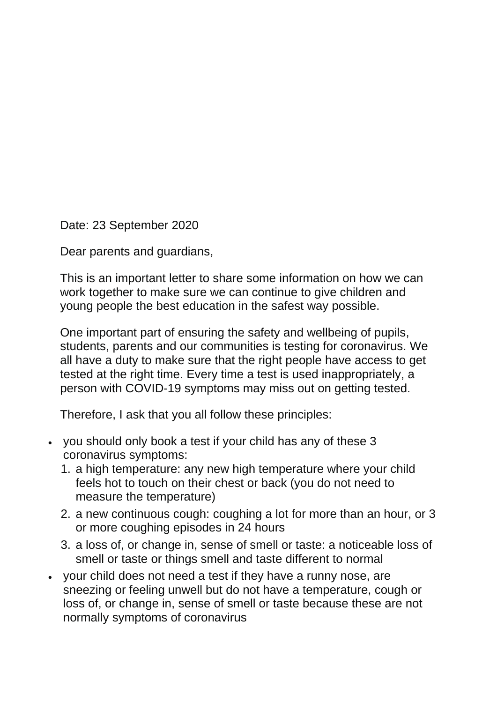Date: 23 September 2020

Dear parents and guardians,

This is an important letter to share some information on how we can work together to make sure we can continue to give children and young people the best education in the safest way possible.

One important part of ensuring the safety and wellbeing of pupils, students, parents and our communities is testing for coronavirus. We all have a duty to make sure that the right people have access to get tested at the right time. Every time a test is used inappropriately, a person with COVID-19 symptoms may miss out on getting tested.

Therefore, I ask that you all follow these principles:

- you should only book a test if your child has any of these 3 coronavirus symptoms:
	- 1. a high temperature: any new high temperature where your child feels hot to touch on their chest or back (you do not need to measure the temperature)
	- 2. a new continuous cough: coughing a lot for more than an hour, or 3 or more coughing episodes in 24 hours
	- 3. a loss of, or change in, sense of smell or taste: a noticeable loss of smell or taste or things smell and taste different to normal
- your child does not need a test if they have a runny nose, are sneezing or feeling unwell but do not have a temperature, cough or loss of, or change in, sense of smell or taste because these are not normally symptoms of coronavirus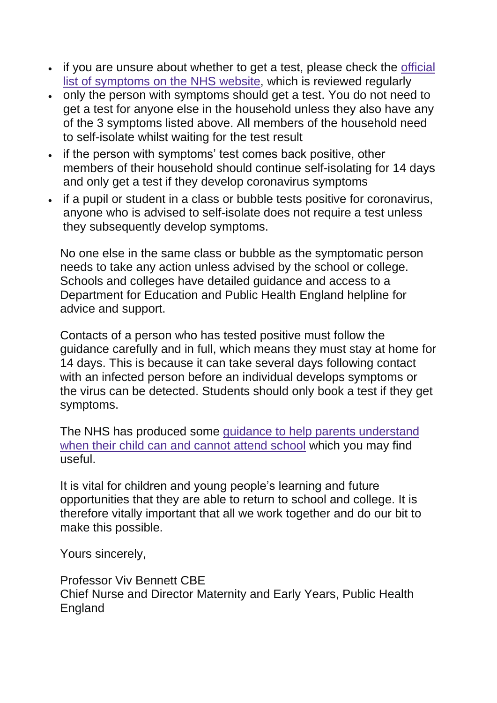- if you are unsure about whether to get a test, please check the [official](https://www.nhs.uk/conditions/coronavirus-covid-19/symptoms/) list of [symptoms](https://www.nhs.uk/conditions/coronavirus-covid-19/symptoms/) on the NHS website, which is reviewed regularly
- only the person with symptoms should get a test. You do not need to get a test for anyone else in the household unless they also have any of the 3 symptoms listed above. All members of the household need to self-isolate whilst waiting for the test result
- if the person with symptoms' test comes back positive, other members of their household should continue self-isolating for 14 days and only get a test if they develop coronavirus symptoms
- if a pupil or student in a class or bubble tests positive for coronavirus, anyone who is advised to self-isolate does not require a test unless they subsequently develop symptoms.

No one else in the same class or bubble as the symptomatic person needs to take any action unless advised by the school or college. Schools and colleges have detailed guidance and access to a Department for Education and Public Health England helpline for advice and support.

Contacts of a person who has tested positive must follow the guidance carefully and in full, which means they must stay at home for 14 days. This is because it can take several days following contact with an infected person before an individual develops symptoms or the virus can be detected. Students should only book a test if they get symptoms.

The NHS has produced some guidance to help parents [understand](https://www.nhs.uk/live-well/healthy-body/is-my-child-too-ill-for-school/) when their child can and [cannot](https://www.nhs.uk/live-well/healthy-body/is-my-child-too-ill-for-school/) attend school which you may find useful.

It is vital for children and young people's learning and future opportunities that they are able to return to school and college. It is therefore vitally important that all we work together and do our bit to make this possible.

Yours sincerely,

Professor Viv Bennett CBE Chief Nurse and Director Maternity and Early Years, Public Health **England**